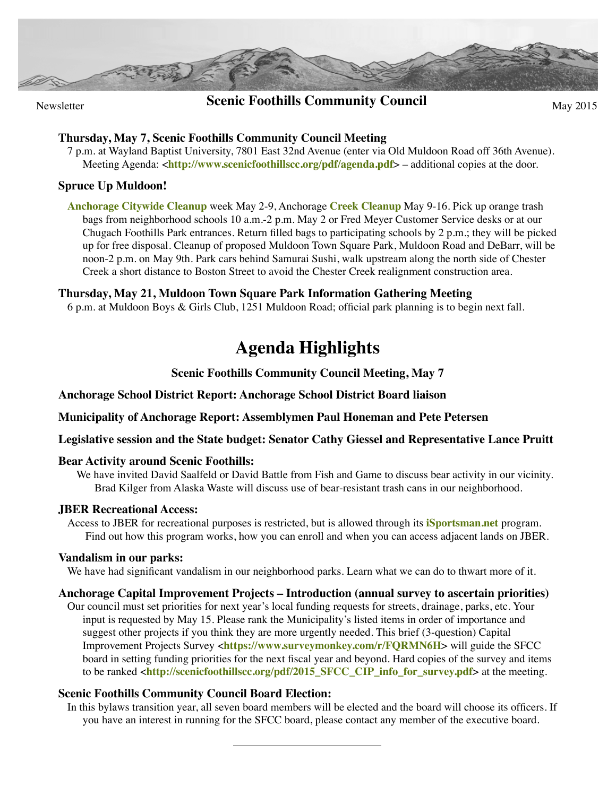

## **Scenic Foothills Community Council** May 2015

#### **Thursday, May 7, Scenic Foothills Community Council Meeting**

7 p.m. at Wayland Baptist University, 7801 East 32nd Avenue (enter via Old Muldoon Road off 36th Avenue). Meeting Agenda: <**<http://www.scenicfoothillscc.org/pdf/agenda.pdf>**> – additional copies at the door.

#### **Spruce Up Muldoon!**

**[Anchorage Citywide Cleanup](http://anchoragechamber.org/programs/citywide-cleanup/rules-bag-pick-up-locations)** week May 2-9, Anchorage **[Creek Cleanup](http://anchoragecreeks.org)** May 9-16. Pick up orange trash bags from neighborhood schools 10 a.m.-2 p.m. May 2 or Fred Meyer Customer Service desks or at our Chugach Foothills Park entrances. Return filled bags to participating schools by 2 p.m.; they will be picked up for free disposal. Cleanup of proposed Muldoon Town Square Park, Muldoon Road and DeBarr, will be noon-2 p.m. on May 9th. Park cars behind Samurai Sushi, walk upstream along the north side of Chester Creek a short distance to Boston Street to avoid the Chester Creek realignment construction area.

#### **Thursday, May 21, Muldoon Town Square Park Information Gathering Meeting**

6 p.m. at Muldoon Boys & Girls Club, 1251 Muldoon Road; official park planning is to begin next fall.

# **Agenda Highlights**

**Scenic Foothills Community Council Meeting, May 7**

**Anchorage School District Report: Anchorage School District Board liaison**

**Municipality of Anchorage Report: Assemblymen Paul Honeman and Pete Petersen**

**Legislative session and the State budget: Senator Cathy Giessel and Representative Lance Pruitt**

### **Bear Activity around Scenic Foothills:**

We have invited David Saalfeld or David Battle from Fish and Game to discuss bear activity in our vicinity. Brad Kilger from Alaska Waste will discuss use of bear-resistant trash cans in our neighborhood.

#### **JBER Recreational Access:**

Access to JBER for recreational purposes is restricted, but is allowed through its **[iSportsman.net](https://jber.isportsman.net)** program. Find out how this program works, how you can enroll and when you can access adjacent lands on JBER.

#### **Vandalism in our parks:**

We have had significant vandalism in our neighborhood parks. Learn what we can do to thwart more of it.

#### **Anchorage Capital Improvement Projects – Introduction (annual survey to ascertain priorities)**

Our council must set priorities for next year's local funding requests for streets, drainage, parks, etc. Your input is requested by May 15. Please rank the Municipality's listed items in order of importance and suggest other projects if you think they are more urgently needed. This brief (3-question) Capital Improvement Projects Survey <**<https://www.surveymonkey.com/r/FQRMN6H>**> will guide the SFCC board in setting funding priorities for the next fiscal year and beyond. Hard copies of the survey and items to be ranked <**[http://scenicfoothillscc.org/pdf/2015\\_SFCC\\_CIP\\_info\\_for\\_survey.pdf](http://scenicfoothillscc.org/pdf/2015_SFCC_CIP_info_for_survey.pdf)**> at the meeting.

### **Scenic Foothills Community Council Board Election:**

In this bylaws transition year, all seven board members will be elected and the board will choose its officers. If you have an interest in running for the SFCC board, please contact any member of the executive board.